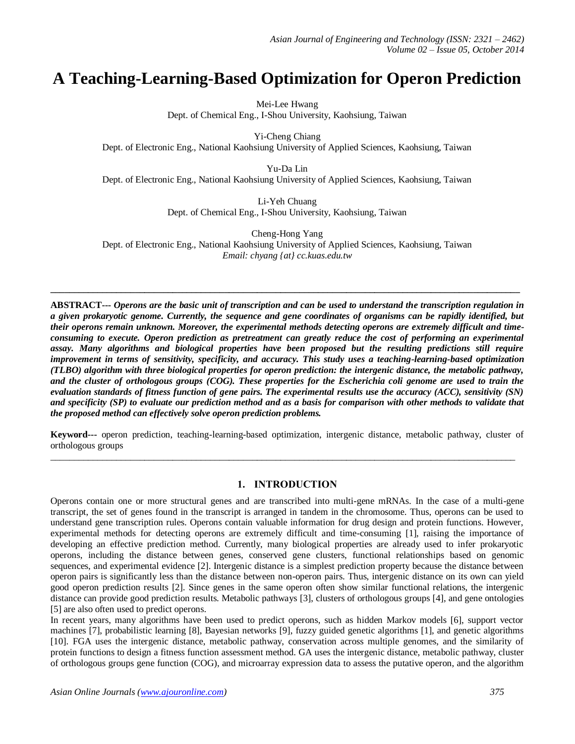# **A Teaching-Learning-Based Optimization for Operon Prediction**

Mei-Lee Hwang Dept. of Chemical Eng., I-Shou University, Kaohsiung, Taiwan

Yi-Cheng Chiang Dept. of Electronic Eng., National Kaohsiung University of Applied Sciences, Kaohsiung, Taiwan

Yu-Da Lin Dept. of Electronic Eng., National Kaohsiung University of Applied Sciences, Kaohsiung, Taiwan

> Li-Yeh Chuang Dept. of Chemical Eng., I-Shou University, Kaohsiung, Taiwan

Cheng-Hong Yang Dept. of Electronic Eng., National Kaohsiung University of Applied Sciences, Kaohsiung, Taiwan *Email: chyang {at} cc.kuas.edu.tw*

**\_\_\_\_\_\_\_\_\_\_\_\_\_\_\_\_\_\_\_\_\_\_\_\_\_\_\_\_\_\_\_\_\_\_\_\_\_\_\_\_\_\_\_\_\_\_\_\_\_\_\_\_\_\_\_\_\_\_\_\_\_\_\_\_\_\_\_\_\_\_\_\_\_\_\_\_\_\_\_\_\_\_\_\_\_\_\_\_\_\_\_\_\_\_\_\_\_\_\_\_**

**ABSTRACT---** *Operons are the basic unit of transcription and can be used to understand the transcription regulation in a given prokaryotic genome. Currently, the sequence and gene coordinates of organisms can be rapidly identified, but their operons remain unknown. Moreover, the experimental methods detecting operons are extremely difficult and timeconsuming to execute. Operon prediction as pretreatment can greatly reduce the cost of performing an experimental assay. Many algorithms and biological properties have been proposed but the resulting predictions still require improvement in terms of sensitivity, specificity, and accuracy. This study uses a teaching-learning-based optimization (TLBO) algorithm with three biological properties for operon prediction: the intergenic distance, the metabolic pathway, and the cluster of orthologous groups (COG). These properties for the Escherichia coli genome are used to train the evaluation standards of fitness function of gene pairs. The experimental results use the accuracy (ACC), sensitivity (SN) and specificity (SP) to evaluate our prediction method and as a basis for comparison with other methods to validate that the proposed method can effectively solve operon prediction problems.*

**Keyword---** operon prediction, teaching-learning-based optimization, intergenic distance, metabolic pathway, cluster of orthologous groups

 $\_$  , and the set of the set of the set of the set of the set of the set of the set of the set of the set of the set of the set of the set of the set of the set of the set of the set of the set of the set of the set of th

## **1. INTRODUCTION**

Operons contain one or more structural genes and are transcribed into multi-gene mRNAs. In the case of a multi-gene transcript, the set of genes found in the transcript is arranged in tandem in the chromosome. Thus, operons can be used to understand gene transcription rules. Operons contain valuable information for drug design and protein functions. However, experimental methods for detecting operons are extremely difficult and time-consuming [1], raising the importance of developing an effective prediction method. Currently, many biological properties are already used to infer prokaryotic operons, including the distance between genes, conserved gene clusters, functional relationships based on genomic sequences, and experimental evidence [2]. Intergenic distance is a simplest prediction property because the distance between operon pairs is significantly less than the distance between non-operon pairs. Thus, intergenic distance on its own can yield good operon prediction results [2]. Since genes in the same operon often show similar functional relations, the intergenic distance can provide good prediction results. Metabolic pathways [3], clusters of orthologous groups [4], and gene ontologies [5] are also often used to predict operons.

In recent years, many algorithms have been used to predict operons, such as hidden Markov models [6], support vector machines [7], probabilistic learning [8], Bayesian networks [9], fuzzy guided genetic algorithms [1], and genetic algorithms [10]. FGA uses the intergenic distance, metabolic pathway, conservation across multiple genomes, and the similarity of protein functions to design a fitness function assessment method. GA uses the intergenic distance, metabolic pathway, cluster of orthologous groups gene function (COG), and microarray expression data to assess the putative operon, and the algorithm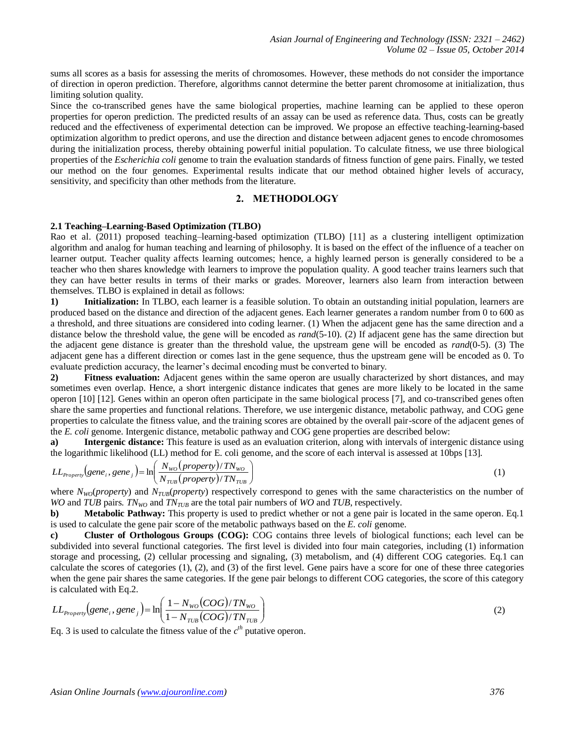sums all scores as a basis for assessing the merits of chromosomes. However, these methods do not consider the importance of direction in operon prediction. Therefore, algorithms cannot determine the better parent chromosome at initialization, thus limiting solution quality.

Since the co-transcribed genes have the same biological properties, machine learning can be applied to these operon properties for operon prediction. The predicted results of an assay can be used as reference data. Thus, costs can be greatly reduced and the effectiveness of experimental detection can be improved. We propose an effective teaching-learning-based optimization algorithm to predict operons, and use the direction and distance between adjacent genes to encode chromosomes during the initialization process, thereby obtaining powerful initial population. To calculate fitness, we use three biological properties of the *Escherichia coli* genome to train the evaluation standards of fitness function of gene pairs. Finally, we tested our method on the four genomes. Experimental results indicate that our method obtained higher levels of accuracy, sensitivity, and specificity than other methods from the literature.

## **2. METHODOLOGY**

# **2.1 Teaching–Learning-Based Optimization (TLBO)**

Rao et al. (2011) proposed teaching–learning-based optimization (TLBO) [11] as a clustering intelligent optimization algorithm and analog for human teaching and learning of philosophy. It is based on the effect of the influence of a teacher on learner output. Teacher quality affects learning outcomes; hence, a highly learned person is generally considered to be a teacher who then shares knowledge with learners to improve the population quality. A good teacher trains learners such that they can have better results in terms of their marks or grades. Moreover, learners also learn from interaction between themselves. TLBO is explained in detail as follows:

**1) Initialization:** In TLBO, each learner is a feasible solution. To obtain an outstanding initial population, learners are produced based on the distance and direction of the adjacent genes. Each learner generates a random number from 0 to 600 as a threshold, and three situations are considered into coding learner. (1) When the adjacent gene has the same direction and a distance below the threshold value, the gene will be encoded as *rand*(5-10). (2) If adjacent gene has the same direction but the adjacent gene distance is greater than the threshold value, the upstream gene will be encoded as *rand*(0-5). (3) The adjacent gene has a different direction or comes last in the gene sequence, thus the upstream gene will be encoded as 0. To evaluate prediction accuracy, the learner's decimal encoding must be converted to binary.

**2) Fitness evaluation:** Adjacent genes within the same operon are usually characterized by short distances, and may sometimes even overlap. Hence, a short intergenic distance indicates that genes are more likely to be located in the same operon [10] [12]. Genes within an operon often participate in the same biological process [7], and co-transcribed genes often share the same properties and functional relations. Therefore, we use intergenic distance, metabolic pathway, and COG gene properties to calculate the fitness value, and the training scores are obtained by the overall pair-score of the adjacent genes of the *E. coli* genome. Intergenic distance, metabolic pathway and COG gene properties are described below:

**a) Intergenic distance:** This feature is used as an evaluation criterion, along with intervals of intergenic distance using the logarithmic likelihood (LL) method for E. coli genome, and the score of each interval is assessed at 10bps [13].

$$
LL_{Property}(gene_i, gene_j) = \ln\left(\frac{N_{wo}(property)/TN_{wo}}{N_{TUB}(property)/TN_{TUB}}\right)
$$
\n(1)

where *N<sub>WO</sub>*(*property*) and *N<sub>TUB</sub>*(*property*) respectively correspond to genes with the same characteristics on the number of *WO* and *TUB* pairs. *TN<sub>WO</sub>* and *TN<sub>TUB</sub>* are the total pair numbers of *WO* and *TUB*, respectively.

**b) Metabolic Pathway:** This property is used to predict whether or not a gene pair is located in the same operon. Eq.1 is used to calculate the gene pair score of the metabolic pathways based on the *E. coli* genome.

**c) Cluster of Orthologous Groups (COG):** COG contains three levels of biological functions; each level can be subdivided into several functional categories. The first level is divided into four main categories, including (1) information storage and processing, (2) cellular processing and signaling, (3) metabolism, and (4) different COG categories. Eq.1 can calculate the scores of categories (1), (2), and (3) of the first level. Gene pairs have a score for one of these three categories when the gene pair shares the same categories. If the gene pair belongs to different COG categories, the score of this category is calculated with Eq.2.

$$
LL_{Property}(gene_i, gene_j) = \ln\left(\frac{1 - N_{wo}(COG)/TN_{wo}}{1 - N_{TUB}(COG)/TN_{TUB}}\right)
$$
\n(2)

Eq. 3 is used to calculate the fitness value of the  $c<sup>th</sup>$  putative operon.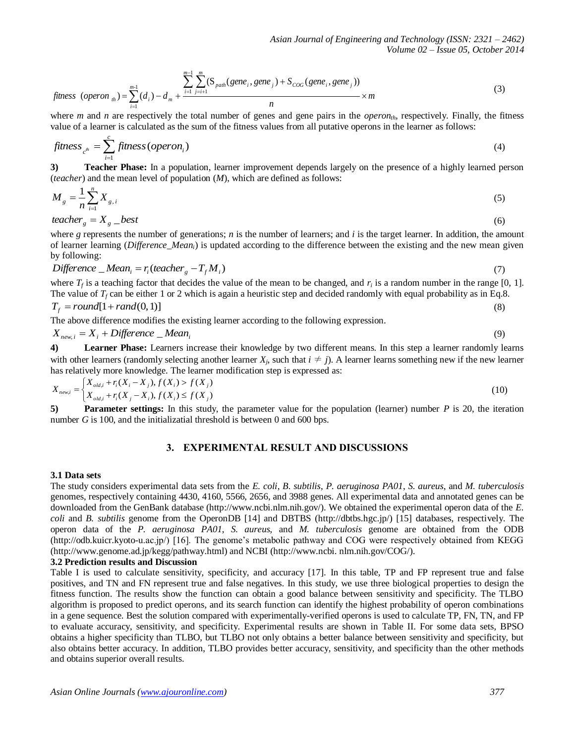$$
fitness (operator_{th}) = \sum_{i=1}^{m-1} (d_i) - d_m + \frac{\sum_{i=1}^{m-1} \sum_{j=i+1}^{m} (S_{path}(gene_i, gene_j) + S_{CoG}(gene_i, gene_j))}{n} \times m
$$
\n(3)

where *m* and *n* are respectively the total number of genes and gene pairs in the *operon<sub>th</sub>*, respectively. Finally, the fitness value of a learner is calculated as the sum of the fitness values from all putative operons in the learner as follows:

$$
fitness_{c^{th}} = \sum_{i=1}^{c} fitness(open_i)
$$
 (4)

**3) Teacher Phase:** In a population, learner improvement depends largely on the presence of a highly learned person (*teacher*) and the mean level of population (*M*), which are defined as follows:

$$
M_{g} = \frac{1}{n} \sum_{i=1}^{n} X_{g,i}
$$
\n
$$
teacher_{g} = X_{g} - best
$$
\n
$$
(6)
$$

*teacher*  $X_{\rm g} = X_{\rm g}$  *best* 

where  $g$  represents the number of generations;  $n$  is the number of learners; and  $i$  is the target learner. In addition, the amount of learner learning (*Difference\_Meani*) is updated according to the difference between the existing and the new mean given by following:

$$
Difference \_\text{Mean}_i = r_i (teacher \_\text{g} - T_f M_i) \tag{7}
$$

where  $T_f$  is a teaching factor that decides the value of the mean to be changed, and  $r_i$  is a random number in the range [0, 1]. The value of  $T_f$  can be either 1 or 2 which is again a heuristic step and decided randomly with equal probability as in Eq.8.  $T_f = round[1 + rand(0, 1)]$ (8)

The above difference modifies the existing learner according to the following expression.

$$
X_{new,i} = X_i + Difference\_Mean_i
$$

**4) Learner Phase:** Learners increase their knowledge by two different means. In this step a learner randomly learns with other learners (randomly selecting another learner  $X_j$ , such that  $i \neq j$ ). A learner learns something new if the new learner has relatively more knowledge. The learner modification step is expressed as:

$$
X_{new,i} = \begin{cases} X_{old,i} + r_i(X_i - X_j), f(X_i) > f(X_j) \\ X_{old,i} + r_i(X_j - X_i), f(X_i) \le f(X_j) \end{cases}
$$
(10)

**5) Parameter settings:** In this study, the parameter value for the population (learner) number *P* is 20, the iteration number *G* is 100, and the initializatial threshold is between 0 and 600 bps.

## **3. EXPERIMENTAL RESULT AND DISCUSSIONS**

#### **3.1 Data sets**

The study considers experimental data sets from the *E. coli*, *B. subtilis*, *P. aeruginosa PA01*, *S. aureus*, and *M. tuberculosis* genomes, respectively containing 4430, 4160, 5566, 2656, and 3988 genes. All experimental data and annotated genes can be downloaded from the GenBank database (http://www.ncbi.nlm.nih.gov/). We obtained the experimental operon data of the *E. coli* and *B. subtilis* genome from the OperonDB [14] and DBTBS (http://dbtbs.hgc.jp/) [15] databases, respectively. The operon data of the *P. aeruginosa PA01*, *S. aureus*, and *M. tuberculosis* genome are obtained from the ODB (http://odb.kuicr.kyoto-u.ac.jp/) [16]. The genome's metabolic pathway and COG were respectively obtained from KEGG (http://www.genome.ad.jp/kegg/pathway.html) and NCBI (http://www.ncbi. nlm.nih.gov/COG/).

#### **3.2 Prediction results and Discussion**

Table I is used to calculate sensitivity, specificity, and accuracy [17]. In this table, TP and FP represent true and false positives, and TN and FN represent true and false negatives. In this study, we use three biological properties to design the fitness function. The results show the function can obtain a good balance between sensitivity and specificity. The TLBO algorithm is proposed to predict operons, and its search function can identify the highest probability of operon combinations in a gene sequence. Best the solution compared with experimentally-verified operons is used to calculate TP, FN, TN, and FP to evaluate accuracy, sensitivity, and specificity. Experimental results are shown in Table II. For some data sets, BPSO obtains a higher specificity than TLBO, but TLBO not only obtains a better balance between sensitivity and specificity, but also obtains better accuracy. In addition, TLBO provides better accuracy, sensitivity, and specificity than the other methods and obtains superior overall results.

(9)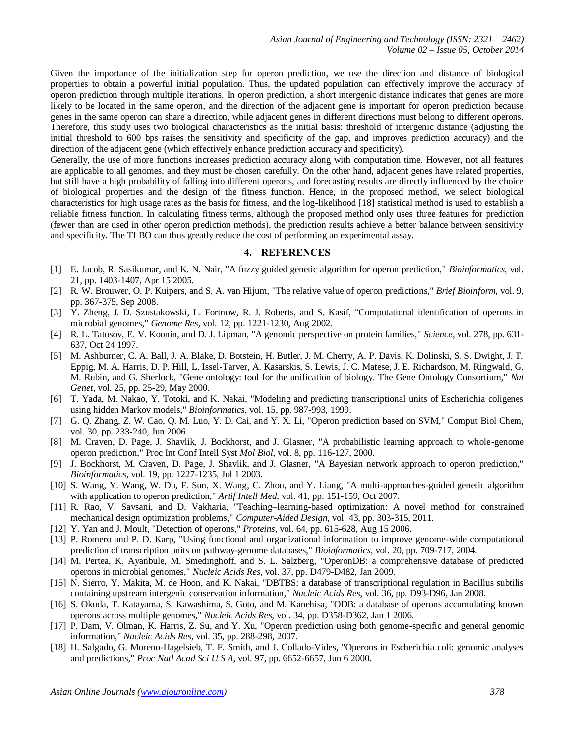Given the importance of the initialization step for operon prediction, we use the direction and distance of biological properties to obtain a powerful initial population. Thus, the updated population can effectively improve the accuracy of operon prediction through multiple iterations. In operon prediction, a short intergenic distance indicates that genes are more likely to be located in the same operon, and the direction of the adjacent gene is important for operon prediction because genes in the same operon can share a direction, while adjacent genes in different directions must belong to different operons. Therefore, this study uses two biological characteristics as the initial basis: threshold of intergenic distance (adjusting the initial threshold to 600 bps raises the sensitivity and specificity of the gap, and improves prediction accuracy) and the direction of the adjacent gene (which effectively enhance prediction accuracy and specificity).

Generally, the use of more functions increases prediction accuracy along with computation time. However, not all features are applicable to all genomes, and they must be chosen carefully. On the other hand, adjacent genes have related properties, but still have a high probability of falling into different operons, and forecasting results are directly influenced by the choice of biological properties and the design of the fitness function. Hence, in the proposed method, we select biological characteristics for high usage rates as the basis for fitness, and the log-likelihood [18] statistical method is used to establish a reliable fitness function. In calculating fitness terms, although the proposed method only uses three features for prediction (fewer than are used in other operon prediction methods), the prediction results achieve a better balance between sensitivity and specificity. The TLBO can thus greatly reduce the cost of performing an experimental assay.

#### **4. REFERENCES**

- <span id="page-3-3"></span>[1] E. Jacob, R. Sasikumar, and K. N. Nair, "A fuzzy guided genetic algorithm for operon prediction," *Bioinformatics,* vol. 21, pp. 1403-1407, Apr 15 2005.
- [2] R. W. Brouwer, O. P. Kuipers, and S. A. van Hijum, "The relative value of operon predictions," *Brief Bioinform,* vol. 9, pp. 367-375, Sep 2008.
- [3] Y. Zheng, J. D. Szustakowski, L. Fortnow, R. J. Roberts, and S. Kasif, "Computational identification of operons in microbial genomes," *Genome Res*, vol. 12, pp. 1221-1230, Aug 2002.
- [4] R. L. Tatusov, E. V. Koonin, and D. J. Lipman, "A genomic perspective on protein families," *Science*, vol. 278, pp. 631- 637, Oct 24 1997.
- [5] M. Ashburner, C. A. Ball, J. A. Blake, D. Botstein, H. Butler, J. M. Cherry, A. P. Davis, K. Dolinski, S. S. Dwight, J. T. Eppig, M. A. Harris, D. P. Hill, L. Issel-Tarver, A. Kasarskis, S. Lewis, J. C. Matese, J. E. Richardson, M. Ringwald, G. M. Rubin, and G. Sherlock, "Gene ontology: tool for the unification of biology. The Gene Ontology Consortium," *Nat Genet*, vol. 25, pp. 25-29, May 2000.
- [6] T. Yada, M. Nakao, Y. Totoki, and K. Nakai, "Modeling and predicting transcriptional units of Escherichia coligenes using hidden Markov models," *Bioinformatics*, vol. 15, pp. 987-993, 1999.
- <span id="page-3-1"></span>[7] G. Q. Zhang, Z. W. Cao, Q. M. Luo, Y. D. Cai, and Y. X. Li, "Operon prediction based on SVM," Comput Biol Chem, vol. 30, pp. 233-240, Jun 2006.
- [8] M. Craven, D. Page, J. Shavlik, J. Bockhorst, and J. Glasner, "A probabilistic learning approach to whole-genome operon prediction," Proc Int Conf Intell Syst *Mol Biol*, vol. 8, pp. 116-127, 2000.
- [9] J. Bockhorst, M. Craven, D. Page, J. Shavlik, and J. Glasner, "A Bayesian network approach to operon prediction," *Bioinformatics*, vol. 19, pp. 1227-1235, Jul 1 2003.
- <span id="page-3-0"></span>[10] S. Wang, Y. Wang, W. Du, F. Sun, X. Wang, C. Zhou, and Y. Liang, "A multi-approaches-guided genetic algorithm with application to operon prediction," *Artif Intell Med*, vol. 41, pp. 151-159, Oct 2007.
- [11] R. Rao, V. Savsani, and D. Vakharia, "Teaching–learning-based optimization: A novel method for constrained mechanical design optimization problems," *Computer-Aided Design*, vol. 43, pp. 303-315, 2011.
- [12] Y. Yan and J. Moult, "Detection of operons," *Proteins*, vol. 64, pp. 615-628, Aug 15 2006.
- [13] P. Romero and P. D. Karp, "Using functional and organizational information to improve genome-wide computational prediction of transcription units on pathway-genome databases," *Bioinformatics*, vol. 20, pp. 709-717, 2004.
- [14] M. Pertea, K. Ayanbule, M. Smedinghoff, and S. L. Salzberg, "OperonDB: a comprehensive database of predicted operons in microbial genomes," *Nucleic Acids Res*, vol. 37, pp. D479-D482, Jan 2009.
- [15] N. Sierro, Y. Makita, M. de Hoon, and K. Nakai, "DBTBS: a database of transcriptional regulation in Bacillus subtilis containing upstream intergenic conservation information," *Nucleic Acids Res*, vol. 36, pp. D93-D96, Jan 2008.
- <span id="page-3-2"></span>[16] S. Okuda, T. Katayama, S. Kawashima, S. Goto, and M. Kanehisa, "ODB: a database of operons accumulating known operons across multiple genomes," *Nucleic Acids Res*, vol. 34, pp. D358-D362, Jan 1 2006.
- [17] P. Dam, V. Olman, K. Harris, Z. Su, and Y. Xu, "Operon prediction using both genome-specific and general genomic information," *Nucleic Acids Res*, vol. 35, pp. 288-298, 2007.
- [18] H. Salgado, G. Moreno-Hagelsieb, T. F. Smith, and J. Collado-Vides, "Operons in Escherichia coli: genomic analyses and predictions," *Proc Natl Acad Sci U S A*, vol. 97, pp. 6652-6657, Jun 6 2000.